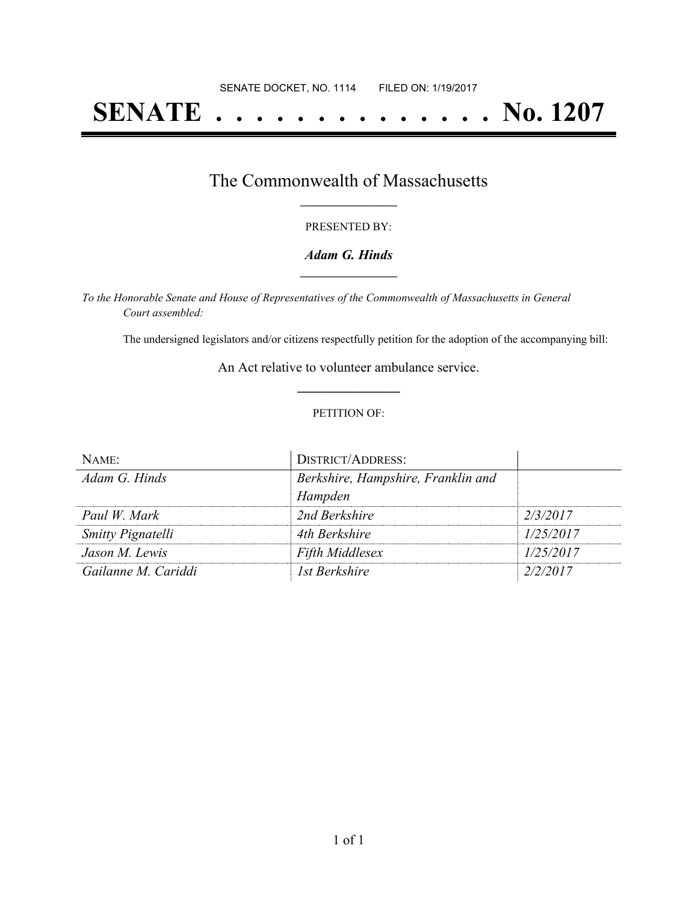# **SENATE . . . . . . . . . . . . . . No. 1207**

### The Commonwealth of Massachusetts **\_\_\_\_\_\_\_\_\_\_\_\_\_\_\_\_\_**

#### PRESENTED BY:

#### *Adam G. Hinds* **\_\_\_\_\_\_\_\_\_\_\_\_\_\_\_\_\_**

*To the Honorable Senate and House of Representatives of the Commonwealth of Massachusetts in General Court assembled:*

The undersigned legislators and/or citizens respectfully petition for the adoption of the accompanying bill:

An Act relative to volunteer ambulance service. **\_\_\_\_\_\_\_\_\_\_\_\_\_\_\_**

#### PETITION OF:

| NAME:                    | <b>DISTRICT/ADDRESS:</b>           |           |
|--------------------------|------------------------------------|-----------|
| Adam G. Hinds            | Berkshire, Hampshire, Franklin and |           |
|                          | Hampden                            |           |
| Paul W. Mark             | 2nd Berkshire                      | 2/3/2017  |
| <b>Smitty Pignatelli</b> | 4th Berkshire                      | 1/25/2017 |
| Jason M. Lewis           | <b>Fifth Middlesex</b>             | 1/25/2017 |
| Gailanne M. Cariddi      | 1st Berkshire                      | 2/2/2017  |